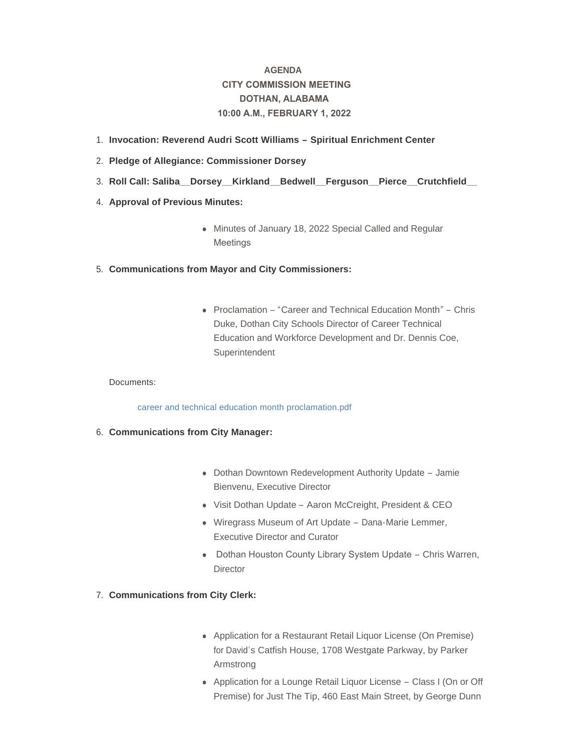# **AGENDA CITY COMMISSION MEETING DOTHAN, ALABAMA 10:00 A.M., FEBRUARY 1, 2022**

- **Invocation: Reverend Audri Scott Williams – Spiritual Enrichment Center**  1.
- **Pledge of Allegiance: Commissioner Dorsey** 2.
- **Roll Call: Saliba\_\_Dorsey\_\_Kirkland\_\_Bedwell\_\_Ferguson\_\_Pierce\_\_Crutchfield\_\_**  3.
- 4. **Approval of Previous Minutes:** 
	- Minutes of January 18, 2022 Special Called and Regular Meetings
- **Communications from Mayor and City Commissioners:** 5.
	- Proclamation "Career and Technical Education Month" Chris Duke, Dothan City Schools Director of Career Technical Education and Workforce Development and Dr. Dennis Coe, **Superintendent**

## Documents:

[career and technical education month proclamation.pdf](http://www.dothan.org/AgendaCenter/ViewFile/Item/7582?fileID=11880)

- **Communications from City Manager:** 6.
	- Dothan Downtown Redevelopment Authority Update Jamie Bienvenu, Executive Director
	- Visit Dothan Update Aaron McCreight, President & CEO
	- Wiregrass Museum of Art Update Dana-Marie Lemmer, Executive Director and Curator
	- Dothan Houston County Library System Update Chris Warren, **Director**
- **Communications from City Clerk:** 7.
	- Application for a Restaurant Retail Liquor License (On Premise) for David's Catfish House, 1708 Westgate Parkway, by Parker Armstrong
	- Application for a Lounge Retail Liquor License Class I (On or Off Premise) for Just The Tip, 460 East Main Street, by George Dunn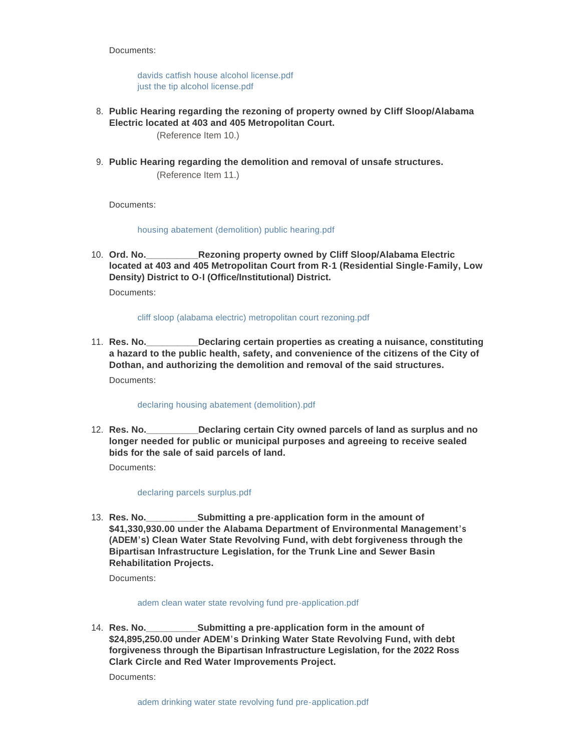Documents:

[davids catfish house alcohol license.pdf](http://www.dothan.org/AgendaCenter/ViewFile/Item/7584?fileID=11881) [just the tip alcohol license.pdf](http://www.dothan.org/AgendaCenter/ViewFile/Item/7584?fileID=11882)

**Public Hearing regarding the rezoning of property owned by Cliff Sloop/Alabama**  8. **Electric located at 403 and 405 Metropolitan Court.** 

(Reference Item 10.)

**Public Hearing regarding the demolition and removal of unsafe structures.** 9. (Reference Item 11.)

Documents:

### [housing abatement \(demolition\) public hearing.pdf](http://www.dothan.org/AgendaCenter/ViewFile/Item/7568?fileID=11870)

**Rezoning property owned by Cliff Sloop/Alabama Electric located at 403 and 405 Metropolitan Court from R-1 (Residential Single-Family, Low Density) District to O-I (Office/Institutional) District.** 10. Ord. No.

Documents:

#### [cliff sloop \(alabama electric\) metropolitan court rezoning.pdf](http://www.dothan.org/AgendaCenter/ViewFile/Item/7569?fileID=11871)

**Declaring certain properties as creating a nuisance, constituting a hazard to the public health, safety, and convenience of the citizens of the City of Dothan, and authorizing the demolition and removal of the said structures.** 11. Res. No. Documents:

## [declaring housing abatement \(demolition\).pdf](http://www.dothan.org/AgendaCenter/ViewFile/Item/7570?fileID=11872)

**Reclaring certain City owned parcels of land as surplus and no longer needed for public or municipal purposes and agreeing to receive sealed bids for the sale of said parcels of land.** 12. **Res. No.** 

Documents:

#### [declaring parcels surplus.pdf](http://www.dothan.org/AgendaCenter/ViewFile/Item/7571?fileID=11873)

**\_Submitting a pre-application form in the amount of \$41,330,930.00 under the Alabama Department of Environmental Management's (ADEM's) Clean Water State Revolving Fund, with debt forgiveness through the Bipartisan Infrastructure Legislation, for the Trunk Line and Sewer Basin Rehabilitation Projects.** 13. Res. No.

Documents:

#### [adem clean water state revolving fund pre-application.pdf](http://www.dothan.org/AgendaCenter/ViewFile/Item/7572?fileID=11874)

**Submitting a pre-application form in the amount of \$24,895,250.00 under ADEM's Drinking Water State Revolving Fund, with debt forgiveness through the Bipartisan Infrastructure Legislation, for the 2022 Ross Clark Circle and Red Water Improvements Project.** 14. Res. No.

Documents: